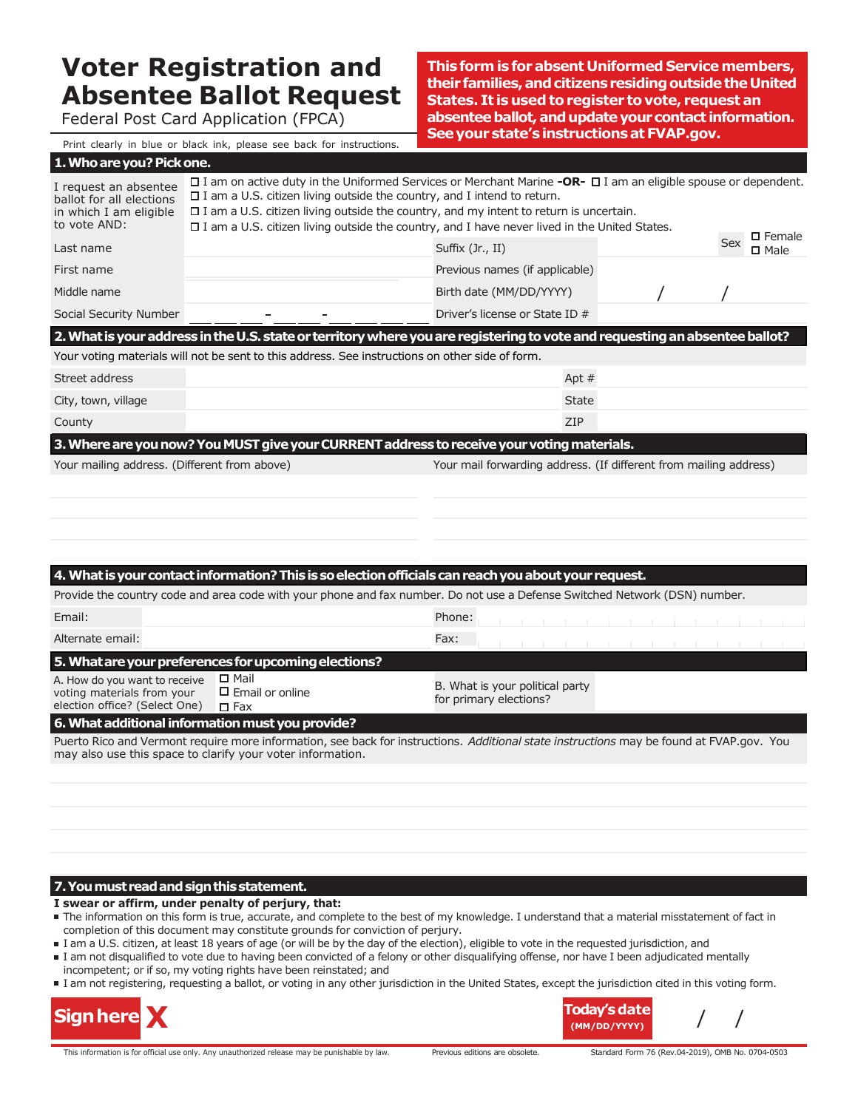# **Voter Registration and Absentee Ballot Request**

Federal Post Card Application (FPCA)

**Thisformis forabsent Uniformed Servicemembers, theirfamilies,andcitizensresidingoutsidetheUnited States. It is used to register to vote, request an** absentee ballot, and update your contact information. **Seeyourstate'sinstructionsatFVAP.gov.**

Print clearly in blue or black ink, please see back for instructions.

| 1. Who are you? Pick one.                                                                   |                                                                                                 |                                                                                                                                                                                                                                                                                                                                     |                                                                   |  |  |
|---------------------------------------------------------------------------------------------|-------------------------------------------------------------------------------------------------|-------------------------------------------------------------------------------------------------------------------------------------------------------------------------------------------------------------------------------------------------------------------------------------------------------------------------------------|-------------------------------------------------------------------|--|--|
| I request an absentee<br>ballot for all elections<br>in which I am eligible<br>to vote AND: | $\square$ I am a U.S. citizen living outside the country, and I intend to return.               | $\Box$ I am on active duty in the Uniformed Services or Merchant Marine -OR- $\Box$ I am an eligible spouse or dependent.<br>$\square$ I am a U.S. citizen living outside the country, and my intent to return is uncertain.<br>$\Box$ I am a U.S. citizen living outside the country, and I have never lived in the United States. | $\square$ Female                                                  |  |  |
| Last name                                                                                   |                                                                                                 | Suffix (Jr., II)                                                                                                                                                                                                                                                                                                                    | Sex<br>$\square$ Male                                             |  |  |
| First name                                                                                  |                                                                                                 | Previous names (if applicable)                                                                                                                                                                                                                                                                                                      |                                                                   |  |  |
| Middle name                                                                                 |                                                                                                 | Birth date (MM/DD/YYYY)                                                                                                                                                                                                                                                                                                             |                                                                   |  |  |
| Social Security Number                                                                      |                                                                                                 | Driver's license or State ID #                                                                                                                                                                                                                                                                                                      |                                                                   |  |  |
|                                                                                             |                                                                                                 | 2. What is your address in the U.S. state or territory where you are registering to vote and requesting an absentee ballot?                                                                                                                                                                                                         |                                                                   |  |  |
|                                                                                             | Your voting materials will not be sent to this address. See instructions on other side of form. |                                                                                                                                                                                                                                                                                                                                     |                                                                   |  |  |
| Street address                                                                              |                                                                                                 | Apt $#$                                                                                                                                                                                                                                                                                                                             |                                                                   |  |  |
| City, town, village                                                                         |                                                                                                 | <b>State</b>                                                                                                                                                                                                                                                                                                                        |                                                                   |  |  |
| County                                                                                      |                                                                                                 | ZIP                                                                                                                                                                                                                                                                                                                                 |                                                                   |  |  |
|                                                                                             |                                                                                                 | 3. Where are you now? You MUST give your CURRENT address to receive your voting materials.                                                                                                                                                                                                                                          |                                                                   |  |  |
| Your mailing address. (Different from above)                                                |                                                                                                 |                                                                                                                                                                                                                                                                                                                                     | Your mail forwarding address. (If different from mailing address) |  |  |
|                                                                                             |                                                                                                 |                                                                                                                                                                                                                                                                                                                                     |                                                                   |  |  |
|                                                                                             |                                                                                                 |                                                                                                                                                                                                                                                                                                                                     |                                                                   |  |  |
|                                                                                             |                                                                                                 |                                                                                                                                                                                                                                                                                                                                     |                                                                   |  |  |
|                                                                                             |                                                                                                 |                                                                                                                                                                                                                                                                                                                                     |                                                                   |  |  |
|                                                                                             |                                                                                                 | 4. What is your contact information? This is so election officials can reach you about your request.                                                                                                                                                                                                                                |                                                                   |  |  |
|                                                                                             |                                                                                                 | Provide the country code and area code with your phone and fax number. Do not use a Defense Switched Network (DSN) number.                                                                                                                                                                                                          |                                                                   |  |  |
| Email:                                                                                      |                                                                                                 | Phone:                                                                                                                                                                                                                                                                                                                              |                                                                   |  |  |
| Alternate email:                                                                            |                                                                                                 | Fax:                                                                                                                                                                                                                                                                                                                                |                                                                   |  |  |
|                                                                                             | 5. What are your preferences for upcoming elections?                                            |                                                                                                                                                                                                                                                                                                                                     |                                                                   |  |  |
| A How do you want to receive $\Box$ Mail                                                    |                                                                                                 |                                                                                                                                                                                                                                                                                                                                     |                                                                   |  |  |

A. How do you want to receive voting materials from your election office? (Select One)  $\square$  Email or online  $\Box$  Fax

B. What is your political party for primary elections?

#### **6. What additional information must you provide?**

Puerto Rico and Vermont require more information, see back for instructions. *Additional state instructions* may be found at FVAP.gov. You may also use this space to clarify your voter information.

#### **7.Youmustreadandsignthisstatement.**

#### **I swear or affirm, under penalty of perjury, that:**

- The information on this form is true, accurate, and complete to the best of my knowledge. I understand that a material misstatement of fact in completion of this document may constitute grounds for conviction of perjury.
- I am a U.S. citizen, at least 18 years of age (or will be by the day of the election), eligible to vote in the requested jurisdiction, and
- I am not disqualified to vote due to having been convicted of a felony or other disqualifying offense, nor have I been adjudicated mentally incompetent; or if so, my voting rights have been reinstated; and
- I am not registering, requesting a ballot, or voting in any other jurisdiction in the United States, except the jurisdiction cited in this voting form.



This information is for official use only. Any unauthorized release may be punishable by law. Previous editions are obsolete. Standard Form 76 (Rev.04-2019), OMB No. 0704-0503

**Today'sdate (MM/DD/YYYY)**